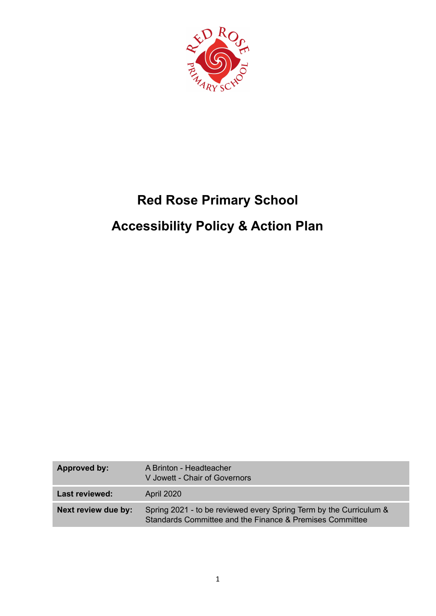

# **Red Rose Primary School Accessibility Policy & Action Plan**

| <b>Approved by:</b>   | A Brinton - Headteacher<br>V Jowett - Chair of Governors                                                                       |
|-----------------------|--------------------------------------------------------------------------------------------------------------------------------|
| <b>Last reviewed:</b> | <b>April 2020</b>                                                                                                              |
| Next review due by:   | Spring 2021 - to be reviewed every Spring Term by the Curriculum &<br>Standards Committee and the Finance & Premises Committee |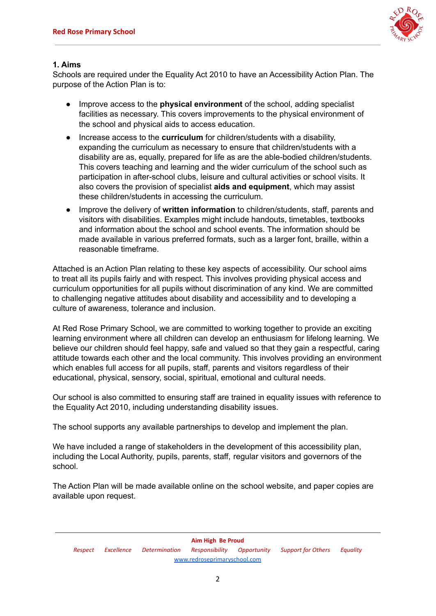

# **1. Aims**

Schools are required under the Equality Act 2010 to have an Accessibility Action Plan. The purpose of the Action Plan is to:

- Improve access to the **physical environment** of the school, adding specialist facilities as necessary. This covers improvements to the physical environment of the school and physical aids to access education.
- Increase access to the **curriculum** for children/students with a disability, expanding the curriculum as necessary to ensure that children/students with a disability are as, equally, prepared for life as are the able-bodied children/students. This covers teaching and learning and the wider curriculum of the school such as participation in after-school clubs, leisure and cultural activities or school visits. It also covers the provision of specialist **aids and equipment**, which may assist these children/students in accessing the curriculum.
- Improve the delivery of **written information** to children/students, staff, parents and visitors with disabilities. Examples might include handouts, timetables, textbooks and information about the school and school events. The information should be made available in various preferred formats, such as a larger font, braille, within a reasonable timeframe.

Attached is an Action Plan relating to these key aspects of accessibility. Our school aims to treat all its pupils fairly and with respect. This involves providing physical access and curriculum opportunities for all pupils without discrimination of any kind. We are committed to challenging negative attitudes about disability and accessibility and to developing a culture of awareness, tolerance and inclusion.

At Red Rose Primary School, we are committed to working together to provide an exciting learning environment where all children can develop an enthusiasm for lifelong learning. We believe our children should feel happy, safe and valued so that they gain a respectful, caring attitude towards each other and the local community. This involves providing an environment which enables full access for all pupils, staff, parents and visitors regardless of their educational, physical, sensory, social, spiritual, emotional and cultural needs.

Our school is also committed to ensuring staff are trained in equality issues with reference to the Equality Act 2010, including understanding disability issues.

The school supports any available partnerships to develop and implement the plan.

We have included a range of stakeholders in the development of this accessibility plan, including the Local Authority, pupils, parents, staff, regular visitors and governors of the school.

The Action Plan will be made available online on the school website, and paper copies are available upon request.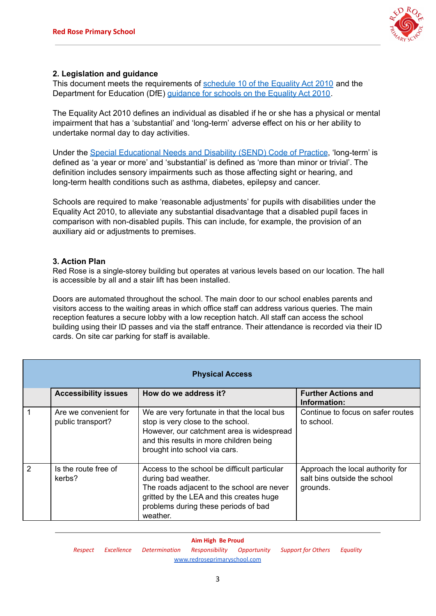

# **2. Legislation and guidance**

This document meets the requirements of [schedule](http://www.legislation.gov.uk/ukpga/2010/15/schedule/10) 10 of the Equality Act 2010 and the Department for Education (DfE) [guidance](https://www.gov.uk/government/publications/equality-act-2010-advice-for-schools) for schools on the Equality Act 2010.

The Equality Act 2010 defines an individual as disabled if he or she has a physical or mental impairment that has a 'substantial' and 'long-term' adverse effect on his or her ability to undertake normal day to day activities.

Under the Special [Educational](https://www.gov.uk/government/publications/send-code-of-practice-0-to-25) Needs and Disability (SEND) Code of Practice, 'long-term' is defined as 'a year or more' and 'substantial' is defined as 'more than minor or trivial'. The definition includes sensory impairments such as those affecting sight or hearing, and long-term health conditions such as asthma, diabetes, epilepsy and cancer.

Schools are required to make 'reasonable adjustments' for pupils with disabilities under the Equality Act 2010, to alleviate any substantial disadvantage that a disabled pupil faces in comparison with non-disabled pupils. This can include, for example, the provision of an auxiliary aid or adjustments to premises.

# **3. Action Plan**

Red Rose is a single-storey building but operates at various levels based on our location. The hall is accessible by all and a stair lift has been installed.

Doors are automated throughout the school. The main door to our school enables parents and visitors access to the waiting areas in which office staff can address various queries. The main reception features a secure lobby with a low reception hatch. All staff can access the school building using their ID passes and via the staff entrance. Their attendance is recorded via their ID cards. On site car parking for staff is available.

|   | <b>Physical Access</b>                     |                                                                                                                                                                                                                   |                                                                              |  |
|---|--------------------------------------------|-------------------------------------------------------------------------------------------------------------------------------------------------------------------------------------------------------------------|------------------------------------------------------------------------------|--|
|   | <b>Accessibility issues</b>                | How do we address it?                                                                                                                                                                                             | <b>Further Actions and</b><br>Information:                                   |  |
|   | Are we convenient for<br>public transport? | We are very fortunate in that the local bus<br>stop is very close to the school.<br>However, our catchment area is widespread<br>and this results in more children being<br>brought into school via cars.         | Continue to focus on safer routes<br>to school.                              |  |
| 2 | Is the route free of<br>kerbs?             | Access to the school be difficult particular<br>during bad weather.<br>The roads adjacent to the school are never<br>gritted by the LEA and this creates huge<br>problems during these periods of bad<br>weather. | Approach the local authority for<br>salt bins outside the school<br>grounds. |  |

#### **Aim High Be Proud**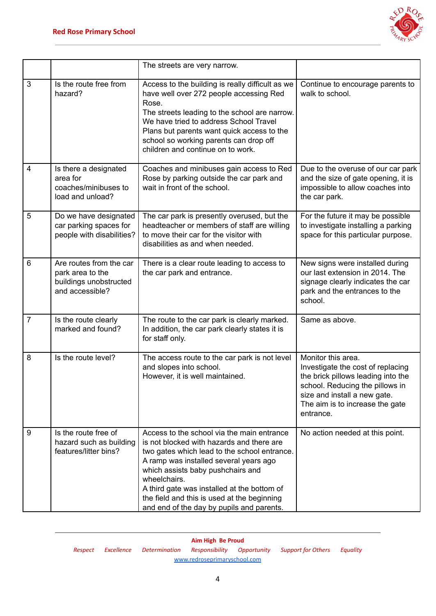

|                         |                                                                                          | The streets are very narrow.                                                                                                                                                                                                                                                                                                                                                      |                                                                                                                                                                                                                  |
|-------------------------|------------------------------------------------------------------------------------------|-----------------------------------------------------------------------------------------------------------------------------------------------------------------------------------------------------------------------------------------------------------------------------------------------------------------------------------------------------------------------------------|------------------------------------------------------------------------------------------------------------------------------------------------------------------------------------------------------------------|
| 3                       | Is the route free from<br>hazard?                                                        | Access to the building is really difficult as we<br>have well over 272 people accessing Red<br>Rose.<br>The streets leading to the school are narrow.<br>We have tried to address School Travel<br>Plans but parents want quick access to the<br>school so working parents can drop off<br>children and continue on to work.                                                      | Continue to encourage parents to<br>walk to school.                                                                                                                                                              |
| $\overline{\mathbf{4}}$ | Is there a designated<br>area for<br>coaches/minibuses to<br>load and unload?            | Coaches and minibuses gain access to Red<br>Rose by parking outside the car park and<br>wait in front of the school.                                                                                                                                                                                                                                                              | Due to the overuse of our car park<br>and the size of gate opening, it is<br>impossible to allow coaches into<br>the car park.                                                                                   |
| 5                       | Do we have designated<br>car parking spaces for<br>people with disabilities?             | The car park is presently overused, but the<br>headteacher or members of staff are willing<br>to move their car for the visitor with<br>disabilities as and when needed.                                                                                                                                                                                                          | For the future it may be possible<br>to investigate installing a parking<br>space for this particular purpose.                                                                                                   |
| $6\phantom{1}$          | Are routes from the car<br>park area to the<br>buildings unobstructed<br>and accessible? | There is a clear route leading to access to<br>the car park and entrance.                                                                                                                                                                                                                                                                                                         | New signs were installed during<br>our last extension in 2014. The<br>signage clearly indicates the car<br>park and the entrances to the<br>school.                                                              |
| $\overline{7}$          | Is the route clearly<br>marked and found?                                                | The route to the car park is clearly marked.<br>In addition, the car park clearly states it is<br>for staff only.                                                                                                                                                                                                                                                                 | Same as above.                                                                                                                                                                                                   |
| 8                       | Is the route level?                                                                      | The access route to the car park is not level<br>and slopes into school.<br>However, it is well maintained.                                                                                                                                                                                                                                                                       | Monitor this area.<br>Investigate the cost of replacing<br>the brick pillows leading into the<br>school. Reducing the pillows in<br>size and install a new gate.<br>The aim is to increase the gate<br>entrance. |
| 9                       | Is the route free of<br>hazard such as building<br>features/litter bins?                 | Access to the school via the main entrance<br>is not blocked with hazards and there are<br>two gates which lead to the school entrance.<br>A ramp was installed several years ago<br>which assists baby pushchairs and<br>wheelchairs.<br>A third gate was installed at the bottom of<br>the field and this is used at the beginning<br>and end of the day by pupils and parents. | No action needed at this point.                                                                                                                                                                                  |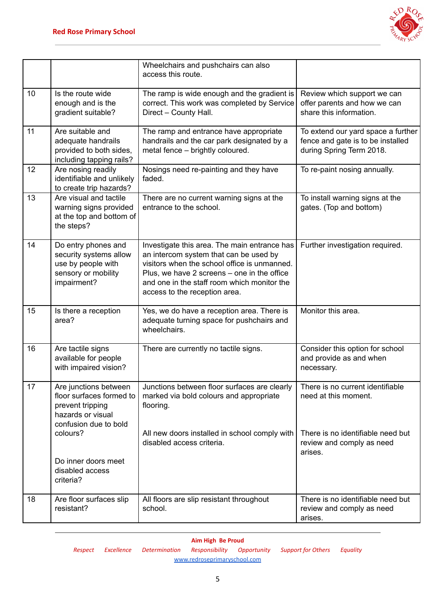

|    |                                                                                                                                                        | Wheelchairs and pushchairs can also<br>access this route.                                                                                                                                                                                                             |                                                                                                                                       |
|----|--------------------------------------------------------------------------------------------------------------------------------------------------------|-----------------------------------------------------------------------------------------------------------------------------------------------------------------------------------------------------------------------------------------------------------------------|---------------------------------------------------------------------------------------------------------------------------------------|
| 10 | Is the route wide<br>enough and is the<br>gradient suitable?                                                                                           | The ramp is wide enough and the gradient is<br>correct. This work was completed by Service<br>Direct - County Hall.                                                                                                                                                   | Review which support we can<br>offer parents and how we can<br>share this information.                                                |
| 11 | Are suitable and<br>adequate handrails<br>provided to both sides,<br>including tapping rails?                                                          | The ramp and entrance have appropriate<br>handrails and the car park designated by a<br>metal fence - brightly coloured.                                                                                                                                              | To extend our yard space a further<br>fence and gate is to be installed<br>during Spring Term 2018.                                   |
| 12 | Are nosing readily<br>identifiable and unlikely<br>to create trip hazards?                                                                             | Nosings need re-painting and they have<br>faded.                                                                                                                                                                                                                      | To re-paint nosing annually.                                                                                                          |
| 13 | Are visual and tactile<br>warning signs provided<br>at the top and bottom of<br>the steps?                                                             | There are no current warning signs at the<br>entrance to the school.                                                                                                                                                                                                  | To install warning signs at the<br>gates. (Top and bottom)                                                                            |
| 14 | Do entry phones and<br>security systems allow<br>use by people with<br>sensory or mobility<br>impairment?                                              | Investigate this area. The main entrance has<br>an intercom system that can be used by<br>visitors when the school office is unmanned.<br>Plus, we have 2 screens – one in the office<br>and one in the staff room which monitor the<br>access to the reception area. | Further investigation required.                                                                                                       |
| 15 | Is there a reception<br>area?                                                                                                                          | Yes, we do have a reception area. There is<br>adequate turning space for pushchairs and<br>wheelchairs.                                                                                                                                                               | Monitor this area.                                                                                                                    |
| 16 | Are tactile signs<br>available for people<br>with impaired vision?                                                                                     | There are currently no tactile signs.                                                                                                                                                                                                                                 | Consider this option for school<br>and provide as and when<br>necessary.                                                              |
| 17 | Are junctions between<br>floor surfaces formed to<br>prevent tripping<br>hazards or visual<br>confusion due to bold<br>colours?<br>Do inner doors meet | Junctions between floor surfaces are clearly<br>marked via bold colours and appropriate<br>flooring.<br>All new doors installed in school comply with<br>disabled access criteria.                                                                                    | There is no current identifiable<br>need at this moment.<br>There is no identifiable need but<br>review and comply as need<br>arises. |
|    | disabled access<br>criteria?                                                                                                                           |                                                                                                                                                                                                                                                                       |                                                                                                                                       |
| 18 | Are floor surfaces slip<br>resistant?                                                                                                                  | All floors are slip resistant throughout<br>school.                                                                                                                                                                                                                   | There is no identifiable need but<br>review and comply as need<br>arises.                                                             |

**Aim High Be Proud**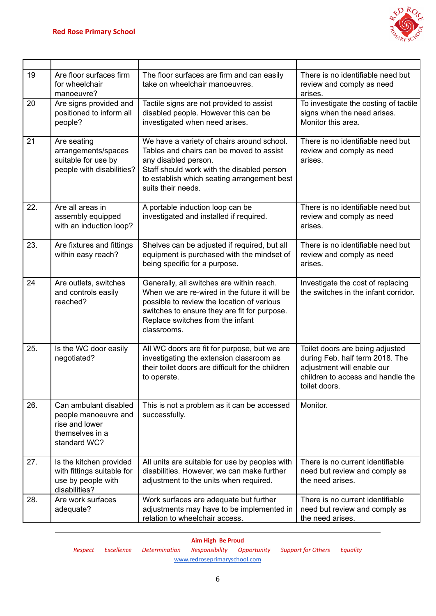

| 19  | Are floor surfaces firm<br>for wheelchair<br>manoeuvre?                                            | The floor surfaces are firm and can easily<br>take on wheelchair manoeuvres.                                                                                                                                                                | There is no identifiable need but<br>review and comply as need<br>arises.                                                                              |
|-----|----------------------------------------------------------------------------------------------------|---------------------------------------------------------------------------------------------------------------------------------------------------------------------------------------------------------------------------------------------|--------------------------------------------------------------------------------------------------------------------------------------------------------|
| 20  | Are signs provided and<br>positioned to inform all<br>people?                                      | Tactile signs are not provided to assist<br>disabled people. However this can be<br>investigated when need arises.                                                                                                                          | To investigate the costing of tactile<br>signs when the need arises.<br>Monitor this area.                                                             |
| 21  | Are seating<br>arrangements/spaces<br>suitable for use by<br>people with disabilities?             | We have a variety of chairs around school.<br>Tables and chairs can be moved to assist<br>any disabled person.<br>Staff should work with the disabled person<br>to establish which seating arrangement best<br>suits their needs.           | There is no identifiable need but<br>review and comply as need<br>arises.                                                                              |
| 22. | Are all areas in<br>assembly equipped<br>with an induction loop?                                   | A portable induction loop can be<br>investigated and installed if required.                                                                                                                                                                 | There is no identifiable need but<br>review and comply as need<br>arises.                                                                              |
| 23. | Are fixtures and fittings<br>within easy reach?                                                    | Shelves can be adjusted if required, but all<br>equipment is purchased with the mindset of<br>being specific for a purpose.                                                                                                                 | There is no identifiable need but<br>review and comply as need<br>arises.                                                                              |
| 24  | Are outlets, switches<br>and controls easily<br>reached?                                           | Generally, all switches are within reach.<br>When we are re-wired in the future it will be<br>possible to review the location of various<br>switches to ensure they are fit for purpose.<br>Replace switches from the infant<br>classrooms. | Investigate the cost of replacing<br>the switches in the infant corridor.                                                                              |
| 25. | Is the WC door easily<br>negotiated?                                                               | All WC doors are fit for purpose, but we are<br>investigating the extension classroom as<br>their toilet doors are difficult for the children<br>to operate.                                                                                | Toilet doors are being adjusted<br>during Feb. half term 2018. The<br>adjustment will enable our<br>children to access and handle the<br>toilet doors. |
| 26. | Can ambulant disabled<br>people manoeuvre and<br>rise and lower<br>themselves in a<br>standard WC? | This is not a problem as it can be accessed<br>successfully.                                                                                                                                                                                | Monitor.                                                                                                                                               |
| 27. | Is the kitchen provided<br>with fittings suitable for<br>use by people with<br>disabilities?       | All units are suitable for use by peoples with<br>disabilities. However, we can make further<br>adjustment to the units when required.                                                                                                      | There is no current identifiable<br>need but review and comply as<br>the need arises.                                                                  |
| 28. | Are work surfaces<br>adequate?                                                                     | Work surfaces are adequate but further<br>adjustments may have to be implemented in<br>relation to wheelchair access.                                                                                                                       | There is no current identifiable<br>need but review and comply as<br>the need arises.                                                                  |

### **Aim High Be Proud**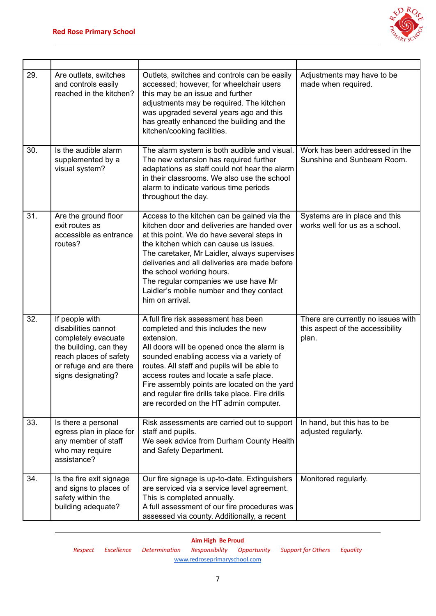

| 29. | Are outlets, switches<br>and controls easily<br>reached in the kitchen?                                                                                           | Outlets, switches and controls can be easily<br>accessed; however, for wheelchair users<br>this may be an issue and further<br>adjustments may be required. The kitchen<br>was upgraded several years ago and this<br>has greatly enhanced the building and the<br>kitchen/cooking facilities.                                                                                                                             | Adjustments may have to be<br>made when required.                               |
|-----|-------------------------------------------------------------------------------------------------------------------------------------------------------------------|----------------------------------------------------------------------------------------------------------------------------------------------------------------------------------------------------------------------------------------------------------------------------------------------------------------------------------------------------------------------------------------------------------------------------|---------------------------------------------------------------------------------|
| 30. | Is the audible alarm<br>supplemented by a<br>visual system?                                                                                                       | The alarm system is both audible and visual.<br>The new extension has required further<br>adaptations as staff could not hear the alarm<br>in their classrooms. We also use the school<br>alarm to indicate various time periods<br>throughout the day.                                                                                                                                                                    | Work has been addressed in the<br>Sunshine and Sunbeam Room.                    |
| 31. | Are the ground floor<br>exit routes as<br>accessible as entrance<br>routes?                                                                                       | Access to the kitchen can be gained via the<br>kitchen door and deliveries are handed over<br>at this point. We do have several steps in<br>the kitchen which can cause us issues.<br>The caretaker, Mr Laidler, always supervises<br>deliveries and all deliveries are made before<br>the school working hours.<br>The regular companies we use have Mr<br>Laidler's mobile number and they contact<br>him on arrival.    | Systems are in place and this<br>works well for us as a school.                 |
| 32. | If people with<br>disabilities cannot<br>completely evacuate<br>the building, can they<br>reach places of safety<br>or refuge and are there<br>signs designating? | A full fire risk assessment has been<br>completed and this includes the new<br>extension.<br>All doors will be opened once the alarm is<br>sounded enabling access via a variety of<br>routes. All staff and pupils will be able to<br>access routes and locate a safe place.<br>Fire assembly points are located on the yard<br>and regular fire drills take place. Fire drills<br>are recorded on the HT admin computer. | There are currently no issues with<br>this aspect of the accessibility<br>plan. |
| 33. | Is there a personal<br>egress plan in place for<br>any member of staff<br>who may require<br>assistance?                                                          | Risk assessments are carried out to support<br>staff and pupils.<br>We seek advice from Durham County Health<br>and Safety Department.                                                                                                                                                                                                                                                                                     | In hand, but this has to be<br>adjusted regularly.                              |
| 34. | Is the fire exit signage<br>and signs to places of<br>safety within the<br>building adequate?                                                                     | Our fire signage is up-to-date. Extinguishers<br>are serviced via a service level agreement.<br>This is completed annually.<br>A full assessment of our fire procedures was<br>assessed via county. Additionally, a recent                                                                                                                                                                                                 | Monitored regularly.                                                            |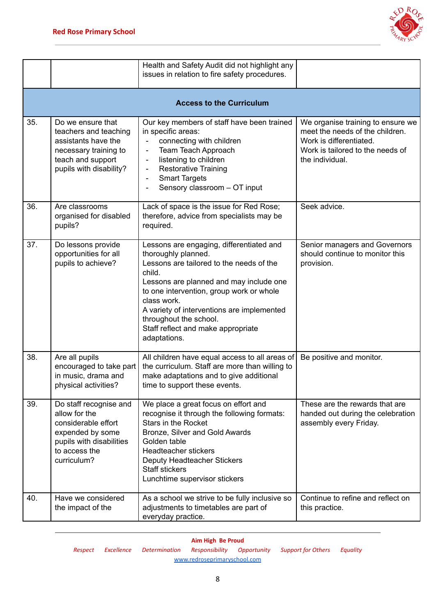

|     |                                                                                                                                                | Health and Safety Audit did not highlight any<br>issues in relation to fire safety procedures.                                                                                                                                                                                                                                                            |                                                                                                                                                        |
|-----|------------------------------------------------------------------------------------------------------------------------------------------------|-----------------------------------------------------------------------------------------------------------------------------------------------------------------------------------------------------------------------------------------------------------------------------------------------------------------------------------------------------------|--------------------------------------------------------------------------------------------------------------------------------------------------------|
|     |                                                                                                                                                | <b>Access to the Curriculum</b>                                                                                                                                                                                                                                                                                                                           |                                                                                                                                                        |
| 35. | Do we ensure that<br>teachers and teaching<br>assistants have the<br>necessary training to<br>teach and support<br>pupils with disability?     | Our key members of staff have been trained<br>in specific areas:<br>connecting with children<br>Team Teach Approach<br>$\qquad \qquad \blacksquare$<br>listening to children<br>$\qquad \qquad -$<br><b>Restorative Training</b><br>$\qquad \qquad -$<br><b>Smart Targets</b><br>$\qquad \qquad \blacksquare$<br>Sensory classroom - OT input             | We organise training to ensure we<br>meet the needs of the children.<br>Work is differentiated.<br>Work is tailored to the needs of<br>the individual. |
| 36. | Are classrooms<br>organised for disabled<br>pupils?                                                                                            | Lack of space is the issue for Red Rose;<br>therefore, advice from specialists may be<br>required.                                                                                                                                                                                                                                                        | Seek advice.                                                                                                                                           |
| 37. | Do lessons provide<br>opportunities for all<br>pupils to achieve?                                                                              | Lessons are engaging, differentiated and<br>thoroughly planned.<br>Lessons are tailored to the needs of the<br>child.<br>Lessons are planned and may include one<br>to one intervention, group work or whole<br>class work.<br>A variety of interventions are implemented<br>throughout the school.<br>Staff reflect and make appropriate<br>adaptations. | Senior managers and Governors<br>should continue to monitor this<br>provision.                                                                         |
| 38. | Are all pupils<br>encouraged to take part<br>in music, drama and<br>physical activities?                                                       | All children have equal access to all areas of<br>the curriculum. Staff are more than willing to<br>make adaptations and to give additional<br>time to support these events.                                                                                                                                                                              | Be positive and monitor.                                                                                                                               |
| 39. | Do staff recognise and<br>allow for the<br>considerable effort<br>expended by some<br>pupils with disabilities<br>to access the<br>curriculum? | We place a great focus on effort and<br>recognise it through the following formats:<br>Stars in the Rocket<br>Bronze, Silver and Gold Awards<br>Golden table<br>Headteacher stickers<br>Deputy Headteacher Stickers<br><b>Staff stickers</b><br>Lunchtime supervisor stickers                                                                             | These are the rewards that are<br>handed out during the celebration<br>assembly every Friday.                                                          |
| 40. | Have we considered<br>the impact of the                                                                                                        | As a school we strive to be fully inclusive so<br>adjustments to timetables are part of<br>everyday practice.                                                                                                                                                                                                                                             | Continue to refine and reflect on<br>this practice.                                                                                                    |

## **Aim High Be Proud**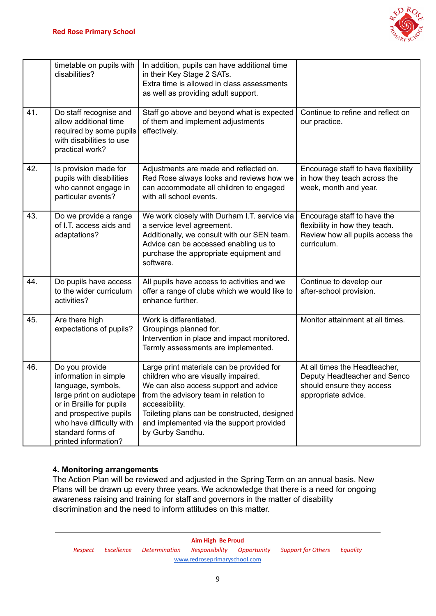

|     | timetable on pupils with<br>disabilities?                                                                                                                                                                                | In addition, pupils can have additional time<br>in their Key Stage 2 SATs.<br>Extra time is allowed in class assessments<br>as well as providing adult support.                                                                                                                                      |                                                                                                                   |
|-----|--------------------------------------------------------------------------------------------------------------------------------------------------------------------------------------------------------------------------|------------------------------------------------------------------------------------------------------------------------------------------------------------------------------------------------------------------------------------------------------------------------------------------------------|-------------------------------------------------------------------------------------------------------------------|
| 41. | Do staff recognise and<br>allow additional time<br>required by some pupils<br>with disabilities to use<br>practical work?                                                                                                | Staff go above and beyond what is expected<br>of them and implement adjustments<br>effectively.                                                                                                                                                                                                      | Continue to refine and reflect on<br>our practice.                                                                |
| 42. | Is provision made for<br>pupils with disabilities<br>who cannot engage in<br>particular events?                                                                                                                          | Adjustments are made and reflected on.<br>Red Rose always looks and reviews how we<br>can accommodate all children to engaged<br>with all school events.                                                                                                                                             | Encourage staff to have flexibility<br>in how they teach across the<br>week, month and year.                      |
| 43. | Do we provide a range<br>of I.T. access aids and<br>adaptations?                                                                                                                                                         | We work closely with Durham I.T. service via<br>a service level agreement.<br>Additionally, we consult with our SEN team.<br>Advice can be accessed enabling us to<br>purchase the appropriate equipment and<br>software.                                                                            | Encourage staff to have the<br>flexibility in how they teach.<br>Review how all pupils access the<br>curriculum.  |
| 44. | Do pupils have access<br>to the wider curriculum<br>activities?                                                                                                                                                          | All pupils have access to activities and we<br>offer a range of clubs which we would like to<br>enhance further.                                                                                                                                                                                     | Continue to develop our<br>after-school provision.                                                                |
| 45. | Are there high<br>expectations of pupils?                                                                                                                                                                                | Work is differentiated.<br>Groupings planned for.<br>Intervention in place and impact monitored.<br>Termly assessments are implemented.                                                                                                                                                              | Monitor attainment at all times.                                                                                  |
| 46. | Do you provide<br>information in simple<br>language, symbols,<br>large print on audiotape<br>or in Braille for pupils<br>and prospective pupils<br>who have difficulty with<br>standard forms of<br>printed information? | Large print materials can be provided for<br>children who are visually impaired.<br>We can also access support and advice<br>from the advisory team in relation to<br>accessibility.<br>Toileting plans can be constructed, designed<br>and implemented via the support provided<br>by Gurby Sandhu. | At all times the Headteacher,<br>Deputy Headteacher and Senco<br>should ensure they access<br>appropriate advice. |

# **4. Monitoring arrangements**

The Action Plan will be reviewed and adjusted in the Spring Term on an annual basis. New Plans will be drawn up every three years. We acknowledge that there is a need for ongoing awareness raising and training for staff and governors in the matter of disability discrimination and the need to inform attitudes on this matter.